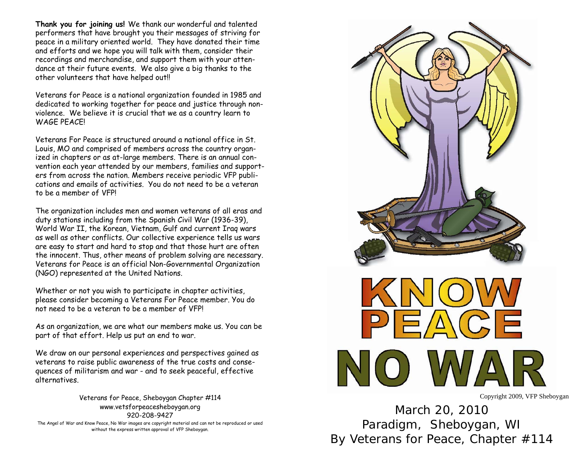**Thank you for joining us!** We thank our wonderful and talented performers that have brought you their messages of striving for peace in a military oriented world. They have donated their time and efforts and we hope you will talk with them, consider their recordings and merchandise, and support them with your attendance at their future events. We also give a big thanks to the other volunteers that have helped out!!

Veterans for Peace is a national organization founded in 1985 and dedicated to working together for peace and justice through nonviolence. We believe it is crucial that we as a country learn to WAGF PFACFI

Veterans For Peace is structured around a national office in St. Louis, MO and comprised of members across the country organized in chapters or as at-large members. There is an annual convention each year attended by our members, families and supporters from across the nation. Members receive periodic VFP publications and emails of activities. You do not need to be a veteran to be a member of VFP!

The organization includes men and women veterans of all eras and duty stations including from the Spanish Civil War (1936-39), World War II, the Korean, Vietnam, Gulf and current Iraq wars as well as other conflicts. Our collective experience tells us wars are easy to start and hard to stop and that those hurt are often the innocent. Thus, other means of problem solving are necessary. Veterans for Peace is an official Non-Governmental Organization (NGO) represented at the United Nations.

Whether or not you wish to participate in chapter activities, please consider becoming a Veterans For Peace member. You do not need to be a veteran to be a member of VFP!

As an organization, we are what our members make us. You can be part of that effort. Help us put an end to war.

We draw on our personal experiences and perspectives gained as veterans to raise public awareness of the true costs and consequences of militarism and war - and to seek peaceful, effective alternatives.

Veterans for Peace, Sheboygan Chapter #114 www.vetsforpeacesheboygan.org 920-208-9427 The Angel of War and Know Peace, No War images are copyright material and can not be reproduced or used without the express written approval of VFP Sheboygan.



March 20, 2010 Paradigm, Sheboygan, WI By Veterans for Peace, Chapter #114